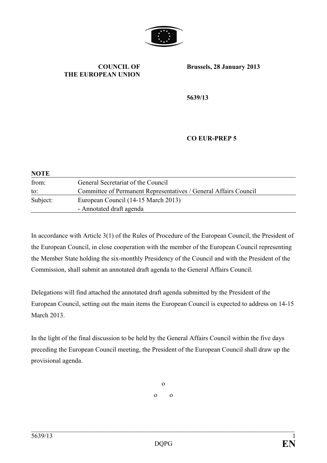

## **COUNCIL OF THE EUROPEAN UNION**

**Brussels, 28 January 2013**

**5639/13**

## **CO EUR-PREP 5**

| <b>NOTE</b> |                                                                  |  |
|-------------|------------------------------------------------------------------|--|
| from:       | General Secretariat of the Council                               |  |
| to:         | Committee of Permanent Representatives / General Affairs Council |  |
| Subject:    | European Council (14-15 March 2013)                              |  |
|             | - Annotated draft agenda                                         |  |

In accordance with Article 3(1) of the Rules of Procedure of the European Council, the President of the European Council, in close cooperation with the member of the European Council representing the Member State holding the six-monthly Presidency of the Council and with the President of the Commission, shall submit an annotated draft agenda to the General Affairs Council.

Delegations will find attached the annotated draft agenda submitted by the President of the European Council, setting out the main items the European Council is expected to address on 14-15 March 2013.

In the light of the final discussion to be held by the General Affairs Council within the five days preceding the European Council meeting, the President of the European Council shall draw up the provisional agenda.

> o o o

\_\_\_\_\_\_\_\_\_\_\_\_\_\_\_\_\_\_\_\_\_\_\_\_\_\_\_\_\_\_\_\_\_\_\_\_\_\_\_\_\_\_\_\_\_\_\_\_\_\_\_\_\_\_\_\_\_\_\_\_\_\_\_\_\_\_\_\_\_\_\_\_\_\_\_\_\_\_\_\_